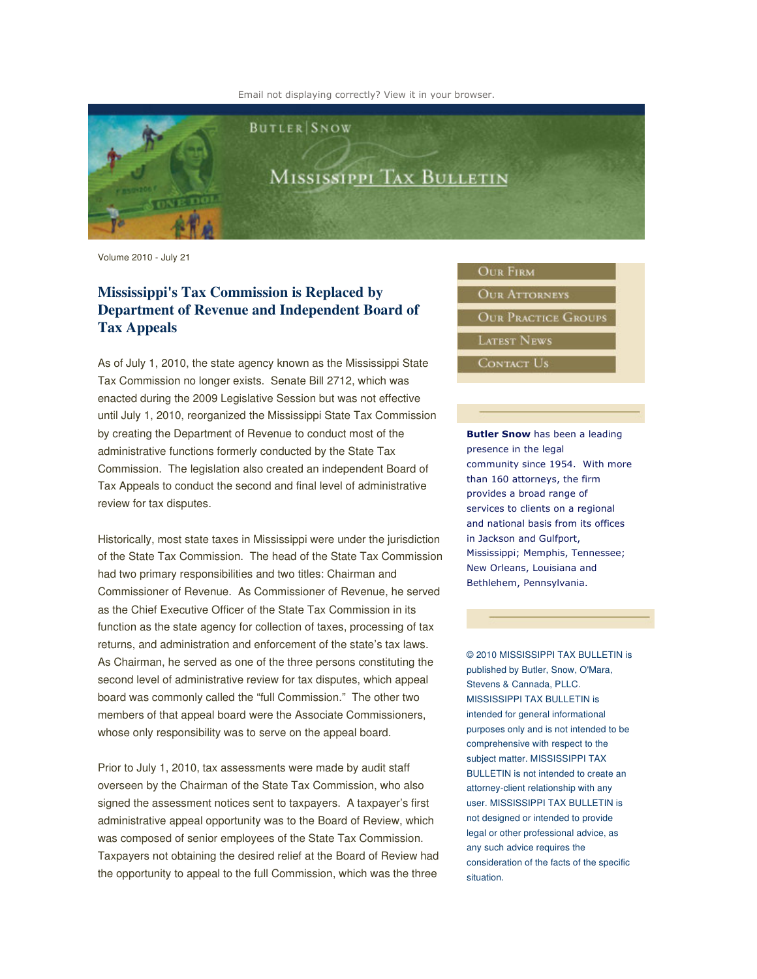Email not displaying correctly? View it in your browser.



Volume 2010 - July 21

## **Mississippi's Tax Commission is Replaced by Department of Revenue and Independent Board of Tax Appeals**

As of July 1, 2010, the state agency known as the Mississippi State Tax Commission no longer exists. Senate Bill 2712, which was enacted during the 2009 Legislative Session but was not effective until July 1, 2010, reorganized the Mississippi State Tax Commission by creating the Department of Revenue to conduct most of the administrative functions formerly conducted by the State Tax Commission. The legislation also created an independent Board of Tax Appeals to conduct the second and final level of administrative review for tax disputes.

Historically, most state taxes in Mississippi were under the jurisdiction of the State Tax Commission. The head of the State Tax Commission had two primary responsibilities and two titles: Chairman and Commissioner of Revenue. As Commissioner of Revenue, he served as the Chief Executive Officer of the State Tax Commission in its function as the state agency for collection of taxes, processing of tax returns, and administration and enforcement of the state's tax laws. As Chairman, he served as one of the three persons constituting the second level of administrative review for tax disputes, which appeal board was commonly called the "full Commission." The other two members of that appeal board were the Associate Commissioners, whose only responsibility was to serve on the appeal board.

Prior to July 1, 2010, tax assessments were made by audit staff overseen by the Chairman of the State Tax Commission, who also signed the assessment notices sent to taxpayers. A taxpayer's first administrative appeal opportunity was to the Board of Review, which was composed of senior employees of the State Tax Commission. Taxpayers not obtaining the desired relief at the Board of Review had the opportunity to appeal to the full Commission, which was the three

## **OUR FIRM**

**OUR ATTORNEYS OUR PRACTICE GROUPS** 

**LATEST NEWS** 

CONTACT US

Butler Snow has been a leading presence in the legal community since 1954. With more than 160 attorneys, the firm provides a broad range of services to clients on a regional and national basis from its offices in Jackson and Gulfport, Mississippi; Memphis, Tennessee; New Orleans, Louisiana and Bethlehem, Pennsylvania.

© 2010 MISSISSIPPI TAX BULLETIN is published by Butler, Snow, O'Mara, Stevens & Cannada, PLLC. MISSISSIPPI TAX BULLETIN is intended for general informational purposes only and is not intended to be comprehensive with respect to the subject matter. MISSISSIPPI TAX BULLETIN is not intended to create an attorney-client relationship with any user. MISSISSIPPI TAX BULLETIN is not designed or intended to provide legal or other professional advice, as any such advice requires the consideration of the facts of the specific situation.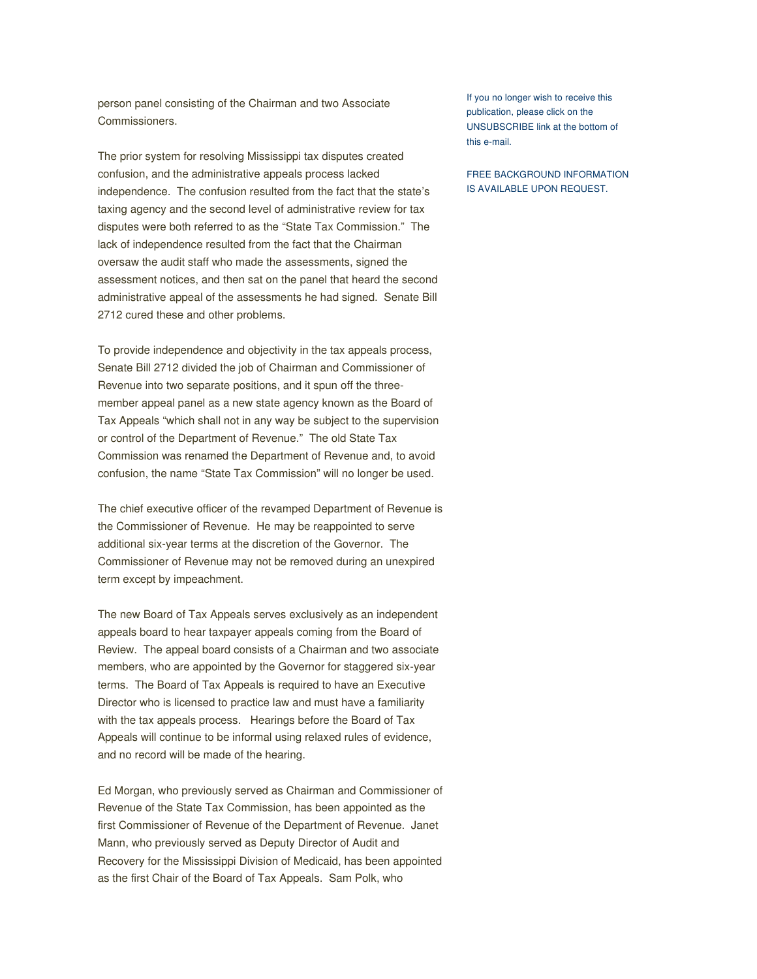person panel consisting of the Chairman and two Associate Commissioners.

The prior system for resolving Mississippi tax disputes created confusion, and the administrative appeals process lacked independence. The confusion resulted from the fact that the state's taxing agency and the second level of administrative review for tax disputes were both referred to as the "State Tax Commission." The lack of independence resulted from the fact that the Chairman oversaw the audit staff who made the assessments, signed the assessment notices, and then sat on the panel that heard the second administrative appeal of the assessments he had signed. Senate Bill 2712 cured these and other problems.

To provide independence and objectivity in the tax appeals process, Senate Bill 2712 divided the job of Chairman and Commissioner of Revenue into two separate positions, and it spun off the threemember appeal panel as a new state agency known as the Board of Tax Appeals "which shall not in any way be subject to the supervision or control of the Department of Revenue." The old State Tax Commission was renamed the Department of Revenue and, to avoid confusion, the name "State Tax Commission" will no longer be used.

The chief executive officer of the revamped Department of Revenue is the Commissioner of Revenue. He may be reappointed to serve additional six-year terms at the discretion of the Governor. The Commissioner of Revenue may not be removed during an unexpired term except by impeachment.

The new Board of Tax Appeals serves exclusively as an independent appeals board to hear taxpayer appeals coming from the Board of Review. The appeal board consists of a Chairman and two associate members, who are appointed by the Governor for staggered six-year terms. The Board of Tax Appeals is required to have an Executive Director who is licensed to practice law and must have a familiarity with the tax appeals process. Hearings before the Board of Tax Appeals will continue to be informal using relaxed rules of evidence, and no record will be made of the hearing.

Ed Morgan, who previously served as Chairman and Commissioner of Revenue of the State Tax Commission, has been appointed as the first Commissioner of Revenue of the Department of Revenue. Janet Mann, who previously served as Deputy Director of Audit and Recovery for the Mississippi Division of Medicaid, has been appointed as the first Chair of the Board of Tax Appeals. Sam Polk, who

If you no longer wish to receive this publication, please click on the UNSUBSCRIBE link at the bottom of this e-mail.

FREE BACKGROUND INFORMATION IS AVAILABLE UPON REQUEST.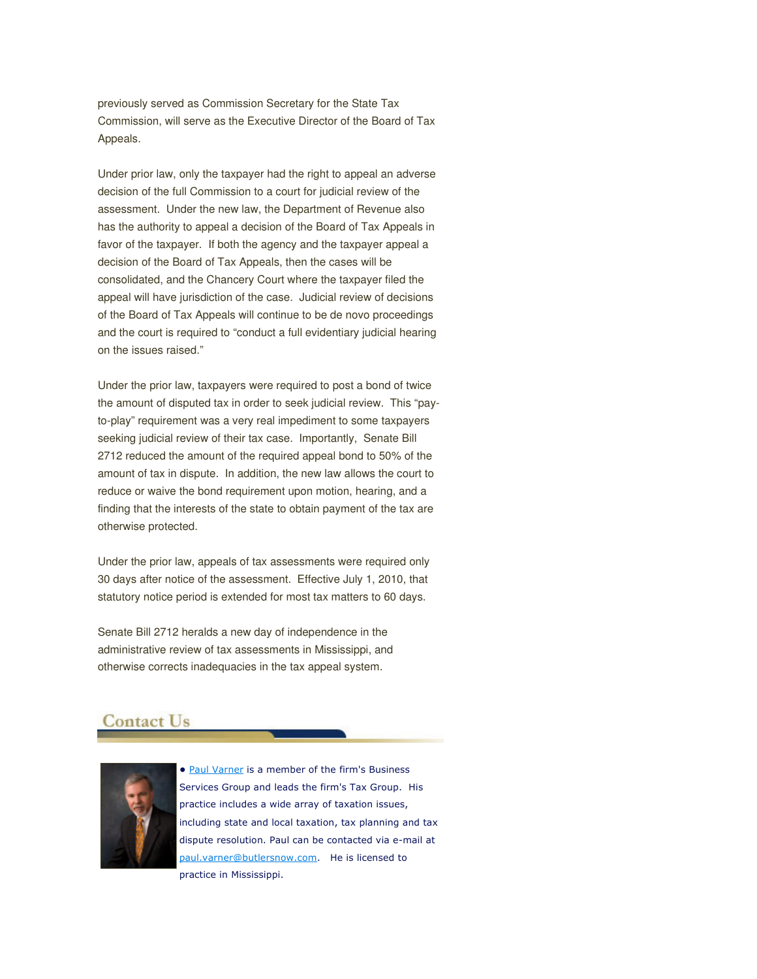previously served as Commission Secretary for the State Tax Commission, will serve as the Executive Director of the Board of Tax Appeals.

Under prior law, only the taxpayer had the right to appeal an adverse decision of the full Commission to a court for judicial review of the assessment. Under the new law, the Department of Revenue also has the authority to appeal a decision of the Board of Tax Appeals in favor of the taxpayer. If both the agency and the taxpayer appeal a decision of the Board of Tax Appeals, then the cases will be consolidated, and the Chancery Court where the taxpayer filed the appeal will have jurisdiction of the case. Judicial review of decisions of the Board of Tax Appeals will continue to be de novo proceedings and the court is required to "conduct a full evidentiary judicial hearing on the issues raised."

Under the prior law, taxpayers were required to post a bond of twice the amount of disputed tax in order to seek judicial review. This "payto-play" requirement was a very real impediment to some taxpayers seeking judicial review of their tax case. Importantly, Senate Bill 2712 reduced the amount of the required appeal bond to 50% of the amount of tax in dispute. In addition, the new law allows the court to reduce or waive the bond requirement upon motion, hearing, and a finding that the interests of the state to obtain payment of the tax are otherwise protected.

Under the prior law, appeals of tax assessments were required only 30 days after notice of the assessment. Effective July 1, 2010, that statutory notice period is extended for most tax matters to 60 days.

Senate Bill 2712 heralds a new day of independence in the administrative review of tax assessments in Mississippi, and otherwise corrects inadequacies in the tax appeal system.

## **Contact Us**



• Paul Varner is a member of the firm's Business Services Group and leads the firm's Tax Group. His practice includes a wide array of taxation issues, including state and local taxation, tax planning and tax dispute resolution. Paul can be contacted via e-mail at paul.varner@butlersnow.com. He is licensed to practice in Mississippi.